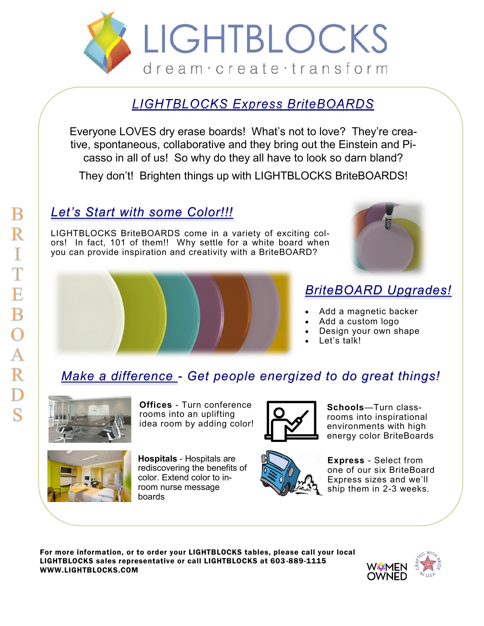

### **LIGHTBLOCKS Express BriteBOARDS**

Everyone LOVES dry erase boards! What's not to love? They're creative, spontaneous, collaborative and they bring out the Einstein and Picasso in all of us! So why do they all have to look so darn bland?

They don't! Brighten things up with LIGHTBLOCKS BriteBOARDS!

## *Let's Start with some Color!!!*

LIGHTBLOCKS BriteBOARDS come in a variety of exciting colors! In fact, 101 of them!! Why settle for a white board when you can provide inspiration and creativity with a BriteBOARD?



## *BriteBOARD Upgrades!*

- Add a magnetic backer
- Add a custom logo
- Design your own shape
- Let's talk!

## *Make a difference - Get people energized to do great things!*



**Offices** - Turn conference rooms into an uplifting idea room by adding color!



**Hospitals** - Hospitals are rediscovering the benefits of color. Extend color to inroom nurse message boards



**Schools**—Turn classrooms into inspirational environments with high energy color BriteBoards



**Express** - Select from one of our six BriteBoard Express sizes and we'll ship them in 2-3 weeks.

For more information, or to order your LIGHTBLOCKS tables, please call your local LIGHTBLOCKS sales representative or call LIGHTBLOCKS at 603-889-1115 WWW.LIGHTBLOCKS.COM